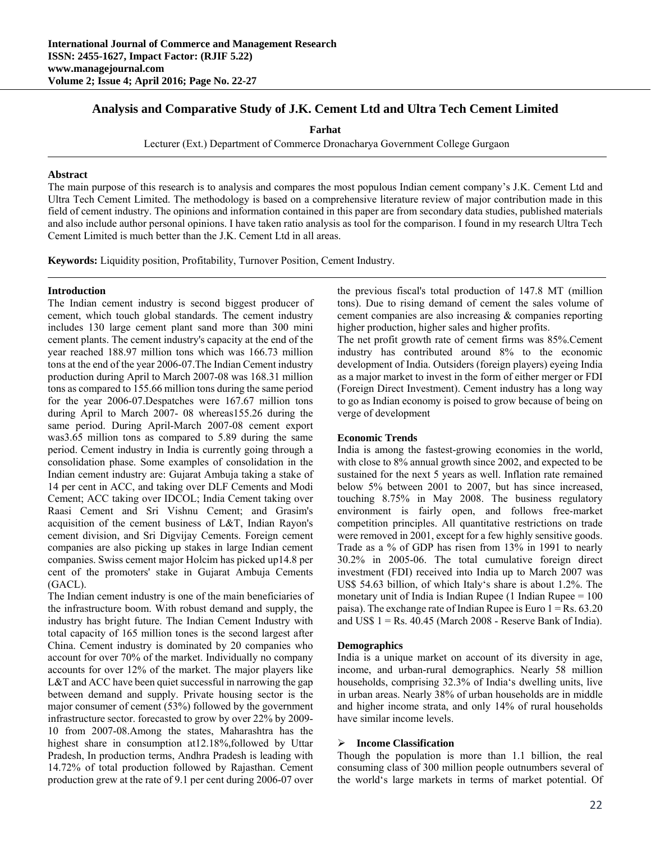# **Analysis and Comparative Study of J.K. Cement Ltd and Ultra Tech Cement Limited**

**Farhat** 

Lecturer (Ext.) Department of Commerce Dronacharya Government College Gurgaon

### **Abstract**

The main purpose of this research is to analysis and compares the most populous Indian cement company's J.K. Cement Ltd and Ultra Tech Cement Limited. The methodology is based on a comprehensive literature review of major contribution made in this field of cement industry. The opinions and information contained in this paper are from secondary data studies, published materials and also include author personal opinions. I have taken ratio analysis as tool for the comparison. I found in my research Ultra Tech Cement Limited is much better than the J.K. Cement Ltd in all areas.

**Keywords:** Liquidity position, Profitability, Turnover Position, Cement Industry.

### **Introduction**

The Indian cement industry is second biggest producer of cement, which touch global standards. The cement industry includes 130 large cement plant sand more than 300 mini cement plants. The cement industry's capacity at the end of the year reached 188.97 million tons which was 166.73 million tons at the end of the year 2006-07.The Indian Cement industry production during April to March 2007-08 was 168.31 million tons as compared to 155.66 million tons during the same period for the year 2006-07.Despatches were 167.67 million tons during April to March 2007- 08 whereas155.26 during the same period. During April-March 2007-08 cement export was3.65 million tons as compared to 5.89 during the same period. Cement industry in India is currently going through a consolidation phase. Some examples of consolidation in the Indian cement industry are: Gujarat Ambuja taking a stake of 14 per cent in ACC, and taking over DLF Cements and Modi Cement; ACC taking over IDCOL; India Cement taking over Raasi Cement and Sri Vishnu Cement; and Grasim's acquisition of the cement business of L&T, Indian Rayon's cement division, and Sri Digvijay Cements. Foreign cement companies are also picking up stakes in large Indian cement companies. Swiss cement major Holcim has picked up14.8 per cent of the promoters' stake in Gujarat Ambuja Cements (GACL).

The Indian cement industry is one of the main beneficiaries of the infrastructure boom. With robust demand and supply, the industry has bright future. The Indian Cement Industry with total capacity of 165 million tones is the second largest after China. Cement industry is dominated by 20 companies who account for over 70% of the market. Individually no company accounts for over 12% of the market. The major players like L&T and ACC have been quiet successful in narrowing the gap between demand and supply. Private housing sector is the major consumer of cement (53%) followed by the government infrastructure sector. forecasted to grow by over 22% by 2009- 10 from 2007-08.Among the states, Maharashtra has the highest share in consumption at12.18%,followed by Uttar Pradesh, In production terms, Andhra Pradesh is leading with 14.72% of total production followed by Rajasthan. Cement production grew at the rate of 9.1 per cent during 2006-07 over

the previous fiscal's total production of 147.8 MT (million tons). Due to rising demand of cement the sales volume of cement companies are also increasing & companies reporting higher production, higher sales and higher profits.

The net profit growth rate of cement firms was 85%.Cement industry has contributed around 8% to the economic development of India. Outsiders (foreign players) eyeing India as a major market to invest in the form of either merger or FDI (Foreign Direct Investment). Cement industry has a long way to go as Indian economy is poised to grow because of being on verge of development

## **Economic Trends**

India is among the fastest-growing economies in the world, with close to 8% annual growth since 2002, and expected to be sustained for the next 5 years as well. Inflation rate remained below 5% between 2001 to 2007, but has since increased, touching 8.75% in May 2008. The business regulatory environment is fairly open, and follows free-market competition principles. All quantitative restrictions on trade were removed in 2001, except for a few highly sensitive goods. Trade as a % of GDP has risen from 13% in 1991 to nearly 30.2% in 2005-06. The total cumulative foreign direct investment (FDI) received into India up to March 2007 was US\$ 54.63 billion, of which Italy's share is about 1.2%. The monetary unit of India is Indian Rupee (1 Indian Rupee = 100 paisa). The exchange rate of Indian Rupee is Euro  $1 = Rs. 63.20$ and US\$  $1 = Rs. 40.45$  (March 2008 - Reserve Bank of India).

## **Demographics**

India is a unique market on account of its diversity in age, income, and urban-rural demographics. Nearly 58 million households, comprising 32.3% of India's dwelling units, live in urban areas. Nearly 38% of urban households are in middle and higher income strata, and only 14% of rural households have similar income levels.

#### **Income Classification**

Though the population is more than 1.1 billion, the real consuming class of 300 million people outnumbers several of the world's large markets in terms of market potential. Of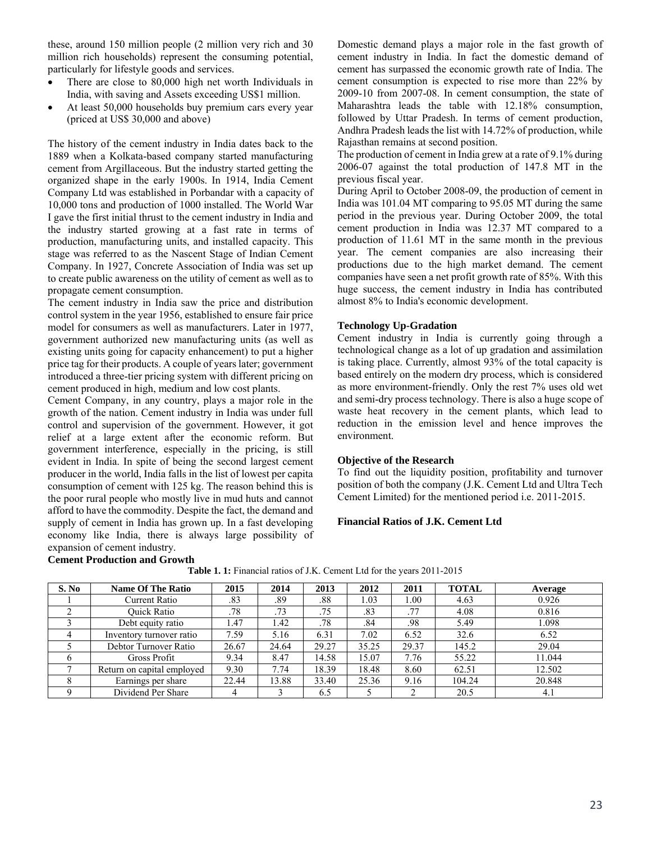these, around 150 million people (2 million very rich and 30 million rich households) represent the consuming potential, particularly for lifestyle goods and services.

- There are close to 80,000 high net worth Individuals in India, with saving and Assets exceeding US\$1 million.
- At least 50,000 households buy premium cars every year (priced at US\$ 30,000 and above)

The history of the cement industry in India dates back to the 1889 when a Kolkata-based company started manufacturing cement from Argillaceous. But the industry started getting the organized shape in the early 1900s. In 1914, India Cement Company Ltd was established in Porbandar with a capacity of 10,000 tons and production of 1000 installed. The World War I gave the first initial thrust to the cement industry in India and the industry started growing at a fast rate in terms of production, manufacturing units, and installed capacity. This stage was referred to as the Nascent Stage of Indian Cement Company. In 1927, Concrete Association of India was set up to create public awareness on the utility of cement as well as to propagate cement consumption.

The cement industry in India saw the price and distribution control system in the year 1956, established to ensure fair price model for consumers as well as manufacturers. Later in 1977, government authorized new manufacturing units (as well as existing units going for capacity enhancement) to put a higher price tag for their products. A couple of years later; government introduced a three-tier pricing system with different pricing on cement produced in high, medium and low cost plants.

Cement Company, in any country, plays a major role in the growth of the nation. Cement industry in India was under full control and supervision of the government. However, it got relief at a large extent after the economic reform. But government interference, especially in the pricing, is still evident in India. In spite of being the second largest cement producer in the world, India falls in the list of lowest per capita consumption of cement with 125 kg. The reason behind this is the poor rural people who mostly live in mud huts and cannot afford to have the commodity. Despite the fact, the demand and supply of cement in India has grown up. In a fast developing economy like India, there is always large possibility of expansion of cement industry.

**Cement Production and Growth** 

Domestic demand plays a major role in the fast growth of cement industry in India. In fact the domestic demand of cement has surpassed the economic growth rate of India. The cement consumption is expected to rise more than 22% by 2009-10 from 2007-08. In cement consumption, the state of Maharashtra leads the table with 12.18% consumption, followed by Uttar Pradesh. In terms of cement production, Andhra Pradesh leads the list with 14.72% of production, while Rajasthan remains at second position.

The production of cement in India grew at a rate of 9.1% during 2006-07 against the total production of 147.8 MT in the previous fiscal year.

During April to October 2008-09, the production of cement in India was 101.04 MT comparing to 95.05 MT during the same period in the previous year. During October 2009, the total cement production in India was 12.37 MT compared to a production of 11.61 MT in the same month in the previous year. The cement companies are also increasing their productions due to the high market demand. The cement companies have seen a net profit growth rate of 85%. With this huge success, the cement industry in India has contributed almost 8% to India's economic development.

### **Technology Up-Gradation**

Cement industry in India is currently going through a technological change as a lot of up gradation and assimilation is taking place. Currently, almost 93% of the total capacity is based entirely on the modern dry process, which is considered as more environment-friendly. Only the rest 7% uses old wet and semi-dry process technology. There is also a huge scope of waste heat recovery in the cement plants, which lead to reduction in the emission level and hence improves the environment.

#### **Objective of the Research**

To find out the liquidity position, profitability and turnover position of both the company (J.K. Cement Ltd and Ultra Tech Cement Limited) for the mentioned period i.e. 2011-2015.

### **Financial Ratios of J.K. Cement Ltd**

| S. No | <b>Name Of The Ratio</b>   | 2015  | 2014  | 2013  | 2012  | 2011  | <b>TOTAL</b> | Average |
|-------|----------------------------|-------|-------|-------|-------|-------|--------------|---------|
|       | Current Ratio              | .83   | .89   | .88   | 1.03  | 00.1  | 4.63         | 0.926   |
|       | <b>Ouick Ratio</b>         | .78   | .73   | .75   | .83   | .77   | 4.08         | 0.816   |
|       | Debt equity ratio          | .47   | l.42  | .78   | .84   | .98   | 5.49         | 1.098   |
|       | Inventory turnover ratio   | 7.59  | 5.16  | 6.31  | 7.02  | 6.52  | 32.6         | 6.52    |
|       | Debtor Turnover Ratio      | 26.67 | 24.64 | 29.27 | 35.25 | 29.37 | 145.2        | 29.04   |
|       | Gross Profit               | 9.34  | 8.47  | 14.58 | 15.07 | 7.76  | 55.22        | 11.044  |
|       | Return on capital employed | 9.30  | 7.74  | 18.39 | 18.48 | 8.60  | 62.51        | 12.502  |
| δ     | Earnings per share         | 22.44 | 13.88 | 33.40 | 25.36 | 9.16  | 104.24       | 20.848  |
|       | Dividend Per Share         |       |       | 6.5   |       |       | 20.5         | 4.1     |

**Table 1. 1:** Financial ratios of J.K. Cement Ltd for the years 2011-2015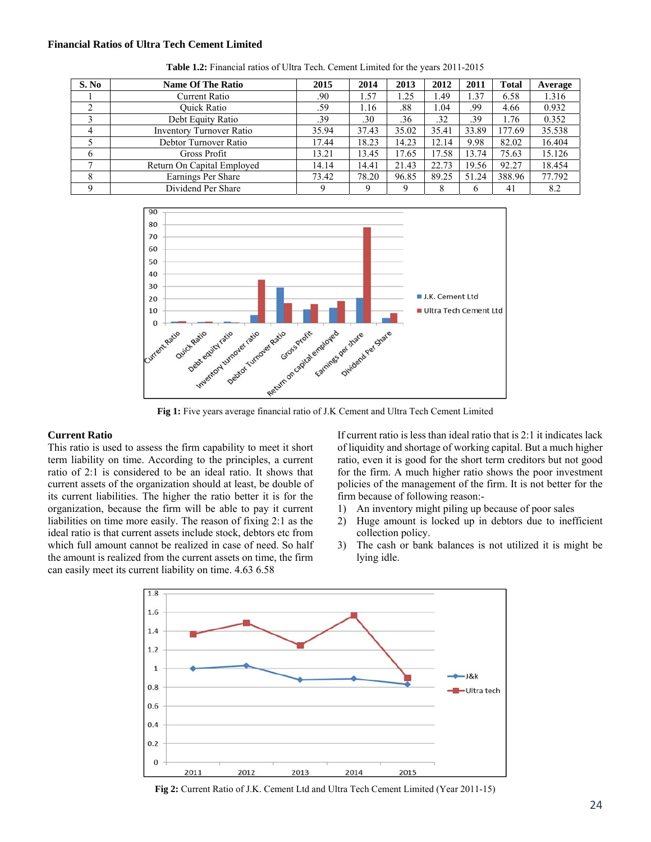#### **Financial Ratios of Ultra Tech Cement Limited**

| S. No | <b>Name Of The Ratio</b>   | 2015  | 2014  | 2013  | 2012  | 2011  | <b>Total</b> | Average |
|-------|----------------------------|-------|-------|-------|-------|-------|--------------|---------|
|       | Current Ratio              | .90   | 1.57  | 1.25  | 1.49  | 1.37  | 6.58         | 1.316   |
|       | <b>Ouick Ratio</b>         | .59   | 1.16  | .88   | 1.04  | .99   | 4.66         | 0.932   |
|       | Debt Equity Ratio          | .39   | .30   | .36   | .32   | .39   | 1.76         | 0.352   |
|       | Inventory Turnover Ratio   | 35.94 | 37.43 | 35.02 | 35.41 | 33.89 | 177.69       | 35.538  |
|       | Debtor Turnover Ratio      | 17.44 | 18.23 | 14.23 | 12.14 | 9.98  | 82.02        | 16.404  |
|       | Gross Profit               | 13.21 | 13.45 | 17.65 | 17.58 | 13.74 | 75.63        | 15.126  |
| ⇁     | Return On Capital Employed | 14.14 | 14.41 | 21.43 | 22.73 | 19.56 | 92.27        | 18.454  |
| 8     | Earnings Per Share         | 73.42 | 78.20 | 96.85 | 89.25 | 51.24 | 388.96       | 77.792  |
| Ω     | Dividend Per Share         |       | Q     | a     | 8     | h     | 41           | 8.2     |

**Table 1.2:** Financial ratios of Ultra Tech. Cement Limited for the years 2011-2015



**Fig 1:** Five years average financial ratio of J.K Cement and Ultra Tech Cement Limited

#### **Current Ratio**

This ratio is used to assess the firm capability to meet it short term liability on time. According to the principles, a current ratio of 2:1 is considered to be an ideal ratio. It shows that current assets of the organization should at least, be double of its current liabilities. The higher the ratio better it is for the organization, because the firm will be able to pay it current liabilities on time more easily. The reason of fixing 2:1 as the ideal ratio is that current assets include stock, debtors etc from which full amount cannot be realized in case of need. So half the amount is realized from the current assets on time, the firm can easily meet its current liability on time. 4.63 6.58

If current ratio is less than ideal ratio that is 2:1 it indicates lack of liquidity and shortage of working capital. But a much higher ratio, even it is good for the short term creditors but not good for the firm. A much higher ratio shows the poor investment policies of the management of the firm. It is not better for the firm because of following reason:-

- 1) An inventory might piling up because of poor sales
- 2) Huge amount is locked up in debtors due to inefficient collection policy.
- 3) The cash or bank balances is not utilized it is might be lying idle.



**Fig 2:** Current Ratio of J.K. Cement Ltd and Ultra Tech Cement Limited (Year 2011-15)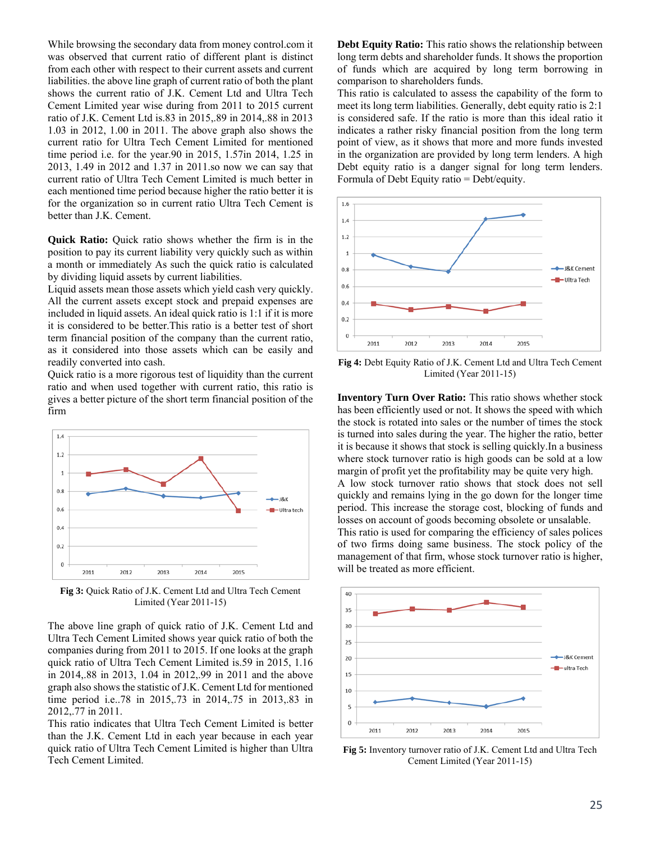While browsing the secondary data from money control.com it was observed that current ratio of different plant is distinct from each other with respect to their current assets and current liabilities. the above line graph of current ratio of both the plant shows the current ratio of J.K. Cement Ltd and Ultra Tech Cement Limited year wise during from 2011 to 2015 current ratio of J.K. Cement Ltd is.83 in 2015,.89 in 2014,.88 in 2013 1.03 in 2012, 1.00 in 2011. The above graph also shows the current ratio for Ultra Tech Cement Limited for mentioned time period i.e. for the year.90 in 2015, 1.57in 2014, 1.25 in 2013, 1.49 in 2012 and 1.37 in 2011.so now we can say that current ratio of Ultra Tech Cement Limited is much better in each mentioned time period because higher the ratio better it is for the organization so in current ratio Ultra Tech Cement is better than J.K. Cement.

**Quick Ratio:** Quick ratio shows whether the firm is in the position to pay its current liability very quickly such as within a month or immediately As such the quick ratio is calculated by dividing liquid assets by current liabilities.

Liquid assets mean those assets which yield cash very quickly. All the current assets except stock and prepaid expenses are included in liquid assets. An ideal quick ratio is 1:1 if it is more it is considered to be better.This ratio is a better test of short term financial position of the company than the current ratio, as it considered into those assets which can be easily and readily converted into cash.

Quick ratio is a more rigorous test of liquidity than the current ratio and when used together with current ratio, this ratio is gives a better picture of the short term financial position of the firm



**Fig 3:** Quick Ratio of J.K. Cement Ltd and Ultra Tech Cement Limited (Year 2011-15)

The above line graph of quick ratio of J.K. Cement Ltd and Ultra Tech Cement Limited shows year quick ratio of both the companies during from 2011 to 2015. If one looks at the graph quick ratio of Ultra Tech Cement Limited is.59 in 2015, 1.16 in 2014,.88 in 2013, 1.04 in 2012,.99 in 2011 and the above graph also shows the statistic of J.K. Cement Ltd for mentioned time period i.e..78 in 2015,.73 in 2014,.75 in 2013,.83 in 2012,.77 in 2011.

This ratio indicates that Ultra Tech Cement Limited is better than the J.K. Cement Ltd in each year because in each year quick ratio of Ultra Tech Cement Limited is higher than Ultra Tech Cement Limited.

**Debt Equity Ratio:** This ratio shows the relationship between long term debts and shareholder funds. It shows the proportion of funds which are acquired by long term borrowing in comparison to shareholders funds.

This ratio is calculated to assess the capability of the form to meet its long term liabilities. Generally, debt equity ratio is 2:1 is considered safe. If the ratio is more than this ideal ratio it indicates a rather risky financial position from the long term point of view, as it shows that more and more funds invested in the organization are provided by long term lenders. A high Debt equity ratio is a danger signal for long term lenders. Formula of Debt Equity ratio = Debt/equity.



**Fig 4:** Debt Equity Ratio of J.K. Cement Ltd and Ultra Tech Cement Limited (Year 2011-15)

**Inventory Turn Over Ratio:** This ratio shows whether stock has been efficiently used or not. It shows the speed with which the stock is rotated into sales or the number of times the stock is turned into sales during the year. The higher the ratio, better it is because it shows that stock is selling quickly.In a business where stock turnover ratio is high goods can be sold at a low margin of profit yet the profitability may be quite very high. A low stock turnover ratio shows that stock does not sell quickly and remains lying in the go down for the longer time period. This increase the storage cost, blocking of funds and

losses on account of goods becoming obsolete or unsalable. This ratio is used for comparing the efficiency of sales polices of two firms doing same business. The stock policy of the management of that firm, whose stock turnover ratio is higher, will be treated as more efficient.



**Fig 5:** Inventory turnover ratio of J.K. Cement Ltd and Ultra Tech Cement Limited (Year 2011-15)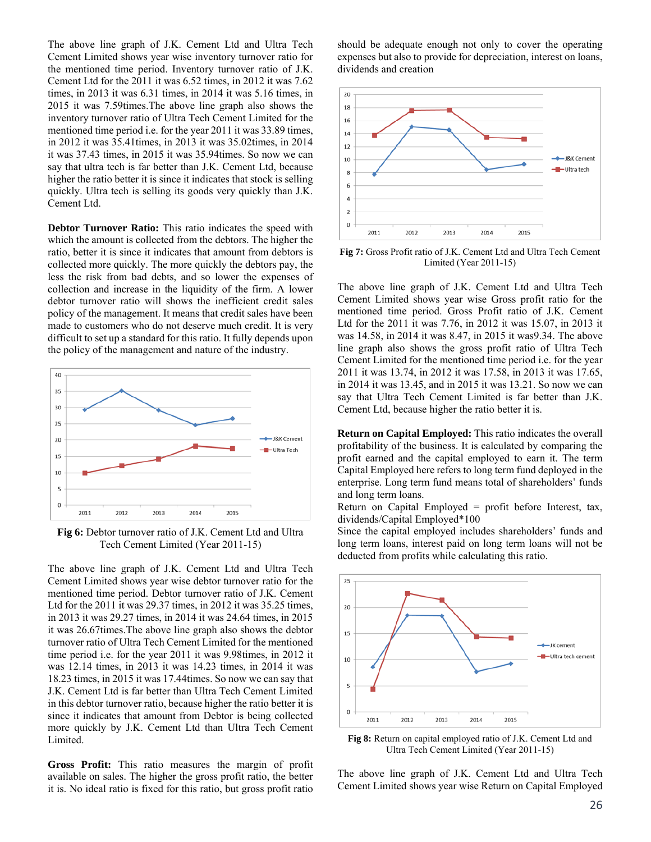The above line graph of J.K. Cement Ltd and Ultra Tech Cement Limited shows year wise inventory turnover ratio for the mentioned time period. Inventory turnover ratio of J.K. Cement Ltd for the 2011 it was 6.52 times, in 2012 it was 7.62 times, in 2013 it was 6.31 times, in 2014 it was 5.16 times, in 2015 it was 7.59times.The above line graph also shows the inventory turnover ratio of Ultra Tech Cement Limited for the mentioned time period i.e. for the year 2011 it was 33.89 times, in 2012 it was 35.41times, in 2013 it was 35.02times, in 2014 it was 37.43 times, in 2015 it was 35.94times. So now we can say that ultra tech is far better than J.K. Cement Ltd, because higher the ratio better it is since it indicates that stock is selling quickly. Ultra tech is selling its goods very quickly than J.K. Cement Ltd.

**Debtor Turnover Ratio:** This ratio indicates the speed with which the amount is collected from the debtors. The higher the ratio, better it is since it indicates that amount from debtors is collected more quickly. The more quickly the debtors pay, the less the risk from bad debts, and so lower the expenses of collection and increase in the liquidity of the firm. A lower debtor turnover ratio will shows the inefficient credit sales policy of the management. It means that credit sales have been made to customers who do not deserve much credit. It is very difficult to set up a standard for this ratio. It fully depends upon the policy of the management and nature of the industry.



**Fig 6:** Debtor turnover ratio of J.K. Cement Ltd and Ultra Tech Cement Limited (Year 2011-15)

The above line graph of J.K. Cement Ltd and Ultra Tech Cement Limited shows year wise debtor turnover ratio for the mentioned time period. Debtor turnover ratio of J.K. Cement Ltd for the 2011 it was 29.37 times, in 2012 it was 35.25 times, in 2013 it was 29.27 times, in 2014 it was 24.64 times, in 2015 it was 26.67times.The above line graph also shows the debtor turnover ratio of Ultra Tech Cement Limited for the mentioned time period i.e. for the year 2011 it was 9.98times, in 2012 it was 12.14 times, in 2013 it was 14.23 times, in 2014 it was 18.23 times, in 2015 it was 17.44times. So now we can say that J.K. Cement Ltd is far better than Ultra Tech Cement Limited in this debtor turnover ratio, because higher the ratio better it is since it indicates that amount from Debtor is being collected more quickly by J.K. Cement Ltd than Ultra Tech Cement Limited.

**Gross Profit:** This ratio measures the margin of profit available on sales. The higher the gross profit ratio, the better it is. No ideal ratio is fixed for this ratio, but gross profit ratio should be adequate enough not only to cover the operating expenses but also to provide for depreciation, interest on loans, dividends and creation



**Fig 7:** Gross Profit ratio of J.K. Cement Ltd and Ultra Tech Cement Limited (Year 2011-15)

The above line graph of J.K. Cement Ltd and Ultra Tech Cement Limited shows year wise Gross profit ratio for the mentioned time period. Gross Profit ratio of J.K. Cement Ltd for the 2011 it was 7.76, in 2012 it was 15.07, in 2013 it was 14.58, in 2014 it was 8.47, in 2015 it was9.34. The above line graph also shows the gross profit ratio of Ultra Tech Cement Limited for the mentioned time period i.e. for the year 2011 it was 13.74, in 2012 it was 17.58, in 2013 it was 17.65, in 2014 it was 13.45, and in 2015 it was 13.21. So now we can say that Ultra Tech Cement Limited is far better than J.K. Cement Ltd, because higher the ratio better it is.

**Return on Capital Employed:** This ratio indicates the overall profitability of the business. It is calculated by comparing the profit earned and the capital employed to earn it. The term Capital Employed here refers to long term fund deployed in the enterprise. Long term fund means total of shareholders' funds and long term loans.

Return on Capital Employed = profit before Interest, tax, dividends/Capital Employed\*100

Since the capital employed includes shareholders' funds and long term loans, interest paid on long term loans will not be deducted from profits while calculating this ratio.



**Fig 8:** Return on capital employed ratio of J.K. Cement Ltd and Ultra Tech Cement Limited (Year 2011-15)

The above line graph of J.K. Cement Ltd and Ultra Tech Cement Limited shows year wise Return on Capital Employed